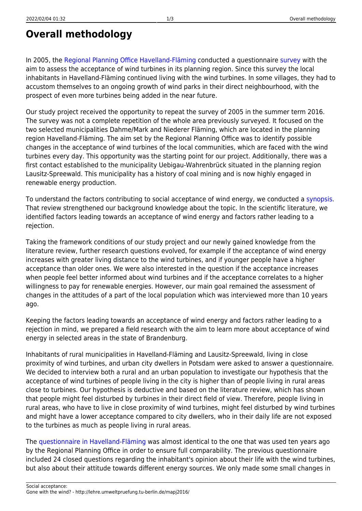## **Overall methodology**

In 2005, the [Regional Planning Office Havelland-Fläming](http://www.havelland-flaeming.de) conducted a questionnaire [survey](http://www.havelland-flaeming.de/media/files/wind_buerger_endbericht_de.pdf) with the aim to assess the acceptance of wind turbines in its planning region. Since this survey the local inhabitants in Havelland-Fläming continued living with the wind turbines. In some villages, they had to accustom themselves to an ongoing growth of wind parks in their direct neighbourhood, with the prospect of even more turbines being added in the near future.

Our study project received the opportunity to repeat the survey of 2005 in the summer term 2016. The survey was not a complete repetition of the whole area previously surveyed. It focused on the two selected municipalities Dahme/Mark and Niederer Fläming, which are located in the planning region Havelland-Fläming. The aim set by the Regional Planning Office was to identify possible changes in the acceptance of wind turbines of the local communities, which are faced with the wind turbines every day. This opportunity was the starting point for our project. Additionally, there was a first contact established to the municipality Uebigau-Wahrenbrück situated in the planning region Lausitz-Spreewald. This municipality has a history of coal mining and is now highly engaged in renewable energy production.

To understand the factors contributing to social acceptance of wind energy, we conducted a [synopsis.](http://lehre.umweltpruefung.tu-berlin.de/mapj2016/doku.php?id=literature_review) That review strengthened our background knowledge about the topic. In the scientific literature, we identified factors leading towards an acceptance of wind energy and factors rather leading to a rejection.

Taking the framework conditions of our study project and our newly gained knowledge from the literature review, further research questions evolved, for example if the acceptance of wind energy increases with greater living distance to the wind turbines, and if younger people have a higher acceptance than older ones. We were also interested in the question if the acceptance increases when people feel better informed about wind turbines and if the acceptance correlates to a higher willingness to pay for renewable energies. However, our main goal remained the assessment of changes in the attitudes of a part of the local population which was interviewed more than 10 years ago.

Keeping the factors leading towards an acceptance of wind energy and factors rather leading to a rejection in mind, we prepared a field research with the aim to learn more about acceptance of wind energy in selected areas in the state of Brandenburg.

Inhabitants of rural municipalities in Havelland-Fläming and Lausitz-Spreewald, living in close proximity of wind turbines, and urban city dwellers in Potsdam were asked to answer a questionnaire. We decided to interview both a rural and an urban population to investigate our hypothesis that the acceptance of wind turbines of people living in the city is higher than of people living in rural areas close to turbines. Our hypothesis is deductive and based on the literature review, which has shown that people might feel disturbed by turbines in their direct field of view. Therefore, people living in rural areas, who have to live in close proximity of wind turbines, might feel disturbed by wind turbines and might have a lower acceptance compared to city dwellers, who in their daily life are not exposed to the turbines as much as people living in rural areas.

The [questionnaire in Havelland-Fläming](http://lehre.umweltpruefung.tu-berlin.de/mapj2016/doku.php?id=annex) was almost identical to the one that was used ten years ago by the Regional Planning Office in order to ensure full comparability. The previous questionnaire included 24 closed questions regarding the inhabitant's opinion about their life with the wind turbines, but also about their attitude towards different energy sources. We only made some small changes in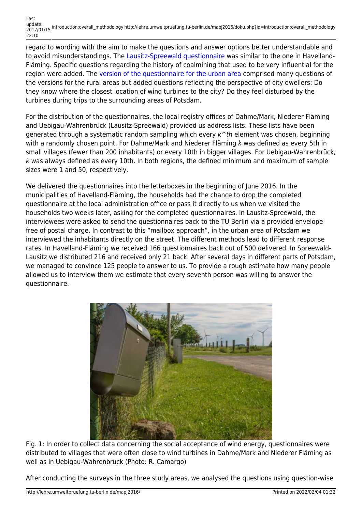regard to wording with the aim to make the questions and answer options better understandable and to avoid misunderstandings. The [Lausitz-Spreewald questionnaire](http://lehre.umweltpruefung.tu-berlin.de/mapj2016/doku.php?id=annex) was similar to the one in Havelland-Fläming. Specific questions regarding the history of coalmining that used to be very influential for the region were added. The [version of the questionnaire for the urban area](http://lehre.umweltpruefung.tu-berlin.de/mapj2016/doku.php?id=annex) comprised many questions of the versions for the rural areas but added questions reflecting the perspective of city dwellers: Do they know where the closest location of wind turbines to the city? Do they feel disturbed by the turbines during trips to the surrounding areas of Potsdam.

For the distribution of the questionnaires, the local registry offices of Dahme/Mark, Niederer Fläming and Uebigau-Wahrenbrück (Lausitz-Spreewald) provided us address lists. These lists have been generated through a systematic random sampling which every  $k^*$ th element was chosen, beginning with a randomly chosen point. For Dahme/Mark and Niederer Fläming k was defined as every 5th in small villages (fewer than 200 inhabitants) or every 10th in bigger villages. For Uebigau-Wahrenbrück, k was always defined as every 10th. In both regions, the defined minimum and maximum of sample sizes were 1 and 50, respectively.

We delivered the questionnaires into the letterboxes in the beginning of June 2016. In the municipalities of Havelland-Fläming, the households had the chance to drop the completed questionnaire at the local administration office or pass it directly to us when we visited the households two weeks later, asking for the completed questionnaires. In Lausitz-Spreewald, the interviewees were asked to send the questionnaires back to the TU Berlin via a provided envelope free of postal charge. In contrast to this "mailbox approach", in the urban area of Potsdam we interviewed the inhabitants directly on the street. The different methods lead to different response rates. In Havelland-Fläming we received 166 questionnaires back out of 500 delivered. In Spreewald-Lausitz we distributed 216 and received only 21 back. After several days in different parts of Potsdam, we managed to convince 125 people to answer to us. To provide a rough estimate how many people allowed us to interview them we estimate that every seventh person was willing to answer the questionnaire.



Fig. 1: In order to collect data concerning the social acceptance of wind energy, questionnaires were distributed to villages that were often close to wind turbines in Dahme/Mark and Niederer Fläming as well as in Uebigau-Wahrenbrück (Photo: R. Camargo)

After conducting the surveys in the three study areas, we analysed the questions using question-wise